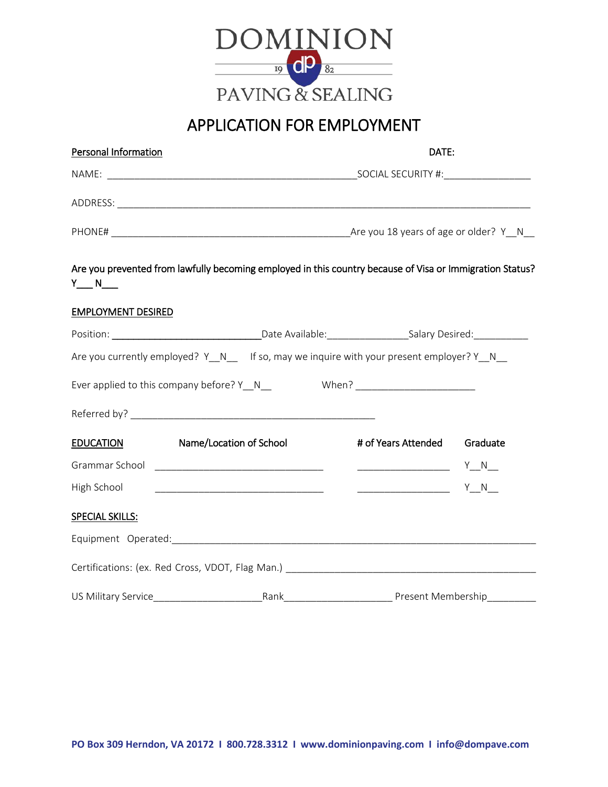

## APPLICATION FOR EMPLOYMENT

| Personal Information      |                                                                                                          | DATE:                                                                                                                                                                                                                                                                                                                                               |          |  |
|---------------------------|----------------------------------------------------------------------------------------------------------|-----------------------------------------------------------------------------------------------------------------------------------------------------------------------------------------------------------------------------------------------------------------------------------------------------------------------------------------------------|----------|--|
|                           |                                                                                                          |                                                                                                                                                                                                                                                                                                                                                     |          |  |
|                           |                                                                                                          |                                                                                                                                                                                                                                                                                                                                                     |          |  |
|                           |                                                                                                          |                                                                                                                                                                                                                                                                                                                                                     |          |  |
| $Y_{\_\_\_N}N_{\_\_\_N}$  | Are you prevented from lawfully becoming employed in this country because of Visa or Immigration Status? |                                                                                                                                                                                                                                                                                                                                                     |          |  |
| <b>EMPLOYMENT DESIRED</b> |                                                                                                          |                                                                                                                                                                                                                                                                                                                                                     |          |  |
|                           |                                                                                                          |                                                                                                                                                                                                                                                                                                                                                     |          |  |
|                           | Are you currently employed? Y_N___If so, may we inquire with your present employer? Y_N_                 |                                                                                                                                                                                                                                                                                                                                                     |          |  |
|                           | Ever applied to this company before? Y_N_                                                                |                                                                                                                                                                                                                                                                                                                                                     |          |  |
| <b>EDUCATION</b>          | Name/Location of School                                                                                  | # of Years Attended                                                                                                                                                                                                                                                                                                                                 | Graduate |  |
|                           |                                                                                                          | $\begin{picture}(180,10) \put(0,0){\line(1,0){10}} \put(10,0){\line(1,0){10}} \put(10,0){\line(1,0){10}} \put(10,0){\line(1,0){10}} \put(10,0){\line(1,0){10}} \put(10,0){\line(1,0){10}} \put(10,0){\line(1,0){10}} \put(10,0){\line(1,0){10}} \put(10,0){\line(1,0){10}} \put(10,0){\line(1,0){10}} \put(10,0){\line(1,0){10}} \put(10,0){\line($ |          |  |
| High School               |                                                                                                          | <u>______________</u> Y_N__                                                                                                                                                                                                                                                                                                                         |          |  |
| <b>SPECIAL SKILLS:</b>    |                                                                                                          |                                                                                                                                                                                                                                                                                                                                                     |          |  |
|                           |                                                                                                          |                                                                                                                                                                                                                                                                                                                                                     |          |  |
|                           |                                                                                                          |                                                                                                                                                                                                                                                                                                                                                     |          |  |
| US Military Service       |                                                                                                          |                                                                                                                                                                                                                                                                                                                                                     |          |  |